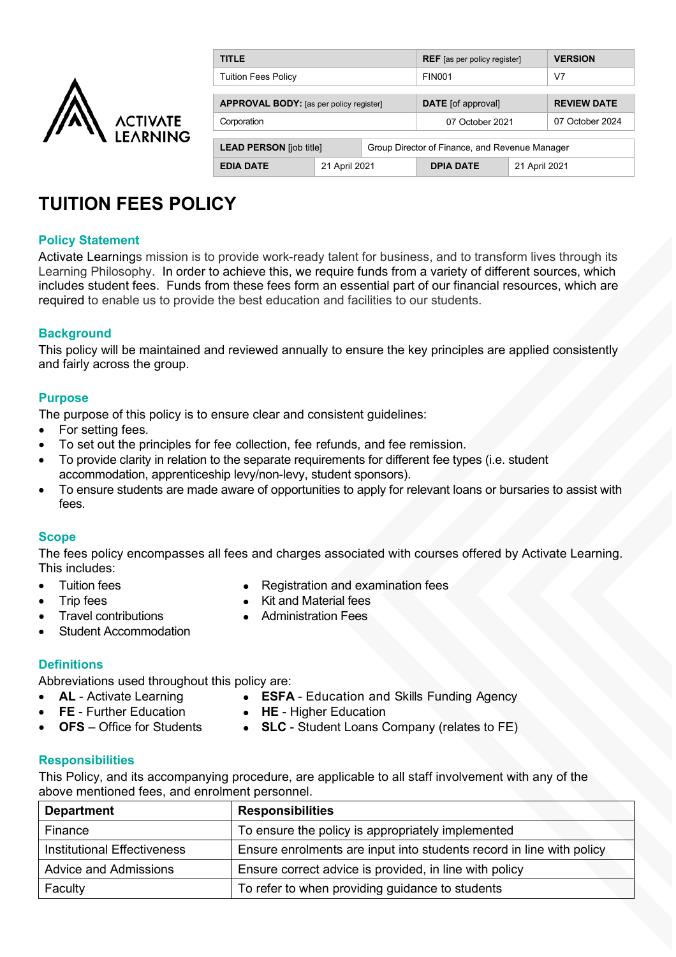

| <b>TITLE</b>                                   |               |                                                | <b>REF</b> [as per policy register] |               | <b>VERSION</b>     |  |
|------------------------------------------------|---------------|------------------------------------------------|-------------------------------------|---------------|--------------------|--|
| Tuition Fees Policy                            |               |                                                | <b>FIN001</b>                       |               | V7                 |  |
|                                                |               |                                                |                                     |               |                    |  |
| <b>APPROVAL BODY:</b> [as per policy register] |               |                                                | <b>DATE</b> [of approval]           |               | <b>REVIEW DATE</b> |  |
| Corporation                                    |               |                                                | 07 October 2021                     |               | 07 October 2024    |  |
|                                                |               |                                                |                                     |               |                    |  |
| <b>LEAD PERSON</b> [job title]                 |               | Group Director of Finance, and Revenue Manager |                                     |               |                    |  |
| <b>EDIA DATE</b>                               | 21 April 2021 |                                                | <b>DPIA DATE</b>                    | 21 April 2021 |                    |  |

# **TUITION FEES POLICY**

## **Policy Statement**

Activate Learnings mission is to provide work-ready talent for business, and to transform lives through its Learning Philosophy. In order to achieve this, we require funds from a variety of different sources, which includes student fees. Funds from these fees form an essential part of our financial resources, which are required to enable us to provide the best education and facilities to our students.

## **Background**

This policy will be maintained and reviewed annually to ensure the key principles are applied consistently and fairly across the group.

## **Purpose**

The purpose of this policy is to ensure clear and consistent guidelines:

- For setting fees.
- To set out the principles for fee collection, fee refunds, and fee remission.
- To provide clarity in relation to the separate requirements for different fee types (i.e. student accommodation, apprenticeship levy/non-levy, student sponsors).
- To ensure students are made aware of opportunities to apply for relevant loans or bursaries to assist with fees.

#### **Scope**

The fees policy encompasses all fees and charges associated with courses offered by Activate Learning. This includes:

- 
- 
- **Travel contributions**
- Student Accommodation
- Tuition fees **Constant Figure 1.5 Constant Figure 1.5 Constant Figure 1.6 Constant Figure 1.6 Constant Figure 1.6 Constant Figure 1.6 Constant Figure 1.6 Constant Figure 1.6 Constant Figure 1.6 Constant Figure 1.6 Consta** 
	- Trip fees<br>
	Travel contributions<br>
	Travel contributions<br> **Administration Fees** 
		-

## **Definitions**

Abbreviations used throughout this policy are:

- **AL** Activate Learning **ESFA** Education and Skills Funding Agency
- 
- 
- 
- **FE** Further Education  **HE** Higher Education<br>**OFS** Office for Students  **SLC** Student Loans C • **SLC** - Student Loans Company (relates to FE)

## **Responsibilities**

This Policy, and its accompanying procedure, are applicable to all staff involvement with any of the above mentioned fees, and enrolment personnel.

| <b>Department</b>                  | <b>Responsibilities</b>                                              |
|------------------------------------|----------------------------------------------------------------------|
| Finance                            | To ensure the policy is appropriately implemented                    |
| <b>Institutional Effectiveness</b> | Ensure enrolments are input into students record in line with policy |
| <b>Advice and Admissions</b>       | Ensure correct advice is provided, in line with policy               |
| Faculty                            | To refer to when providing guidance to students                      |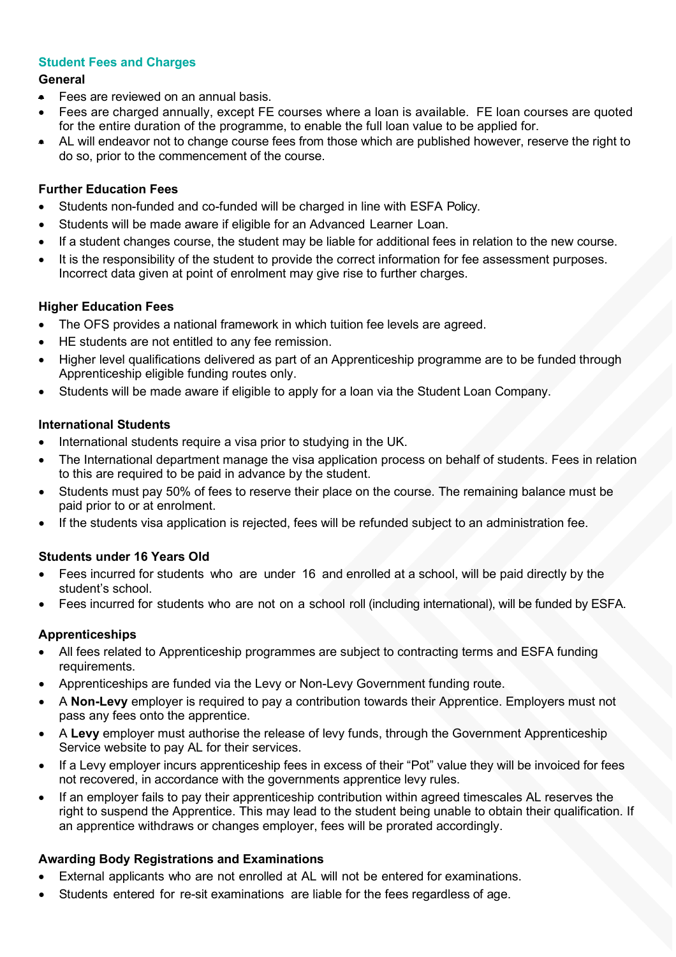## **Student Fees and Charges**

## **General**

- Fees are reviewed on an annual basis.
- Fees are charged annually, except FE courses where a loan is available. FE loan courses are quoted for the entire duration of the programme, to enable the full loan value to be applied for.
- AL will endeavor not to change course fees from those which are published however, reserve the right to do so, prior to the commencement of the course.

## **Further Education Fees**

- Students non-funded and co-funded will be charged in line with ESFA Policy.
- Students will be made aware if eligible for an Advanced Learner Loan.
- If a student changes course, the student may be liable for additional fees in relation to the new course.
- It is the responsibility of the student to provide the correct information for fee assessment purposes. Incorrect data given at point of enrolment may give rise to further charges.

## **Higher Education Fees**

- The OFS provides a national framework in which tuition fee levels are agreed.
- HE students are not entitled to any fee remission.
- Higher level qualifications delivered as part of an Apprenticeship programme are to be funded through Apprenticeship eligible funding routes only.
- Students will be made aware if eligible to apply for a loan via the Student Loan Company.

## **International Students**

- International students require a visa prior to studying in the UK.
- The International department manage the visa application process on behalf of students. Fees in relation to this are required to be paid in advance by the student.
- Students must pay 50% of fees to reserve their place on the course. The remaining balance must be paid prior to or at enrolment.
- If the students visa application is rejected, fees will be refunded subject to an administration fee.

## **Students under 16 Years Old**

- Fees incurred for students who are under 16 and enrolled at a school, will be paid directly by the student's school.
- Fees incurred for students who are not on a school roll (including international), will be funded by ESFA.

## **Apprenticeships**

- All fees related to Apprenticeship programmes are subject to contracting terms and ESFA funding requirements.
- Apprenticeships are funded via the Levy or Non-Levy Government funding route.
- A **Non-Levy** employer is required to pay a contribution towards their Apprentice. Employers must not pass any fees onto the apprentice.
- A **Levy** employer must authorise the release of levy funds, through the Government Apprenticeship Service website to pay AL for their services.
- If a Levy employer incurs apprenticeship fees in excess of their "Pot" value they will be invoiced for fees not recovered, in accordance with the governments apprentice levy rules.
- If an employer fails to pay their apprenticeship contribution within agreed timescales AL reserves the right to suspend the Apprentice. This may lead to the student being unable to obtain their qualification. If an apprentice withdraws or changes employer, fees will be prorated accordingly.

## **Awarding Body Registrations and Examinations**

- External applicants who are not enrolled at AL will not be entered for examinations.
- Students entered for re-sit examinations are liable for the fees regardless of age.